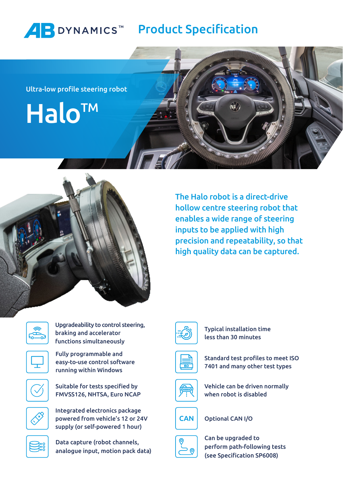

Ultra-low profile steering robot

Halo<sup>TM</sup>



The Halo robot is a direct-drive hollow centre steering robot that enables a wide range of steering inputs to be applied with high precision and repeatability, so that high quality data can be captured.



Upgradeability to control steering, braking and accelerator functions simultaneously



Fully programmable and easy-to-use control software running within Windows



Suitable for tests specified by FMVSS126, NHTSA, Euro NCAP



Integrated electronics package powered from vehicle's 12 or 24V supply (or self-powered 1 hour)



Data capture (robot channels, analogue input, motion pack data)



Typical installation time less than 30 minutes







Vehicle can be driven normally when robot is disabled



Optional CAN I/O



Can be upgraded to perform path-following tests (see Specification SP6008)